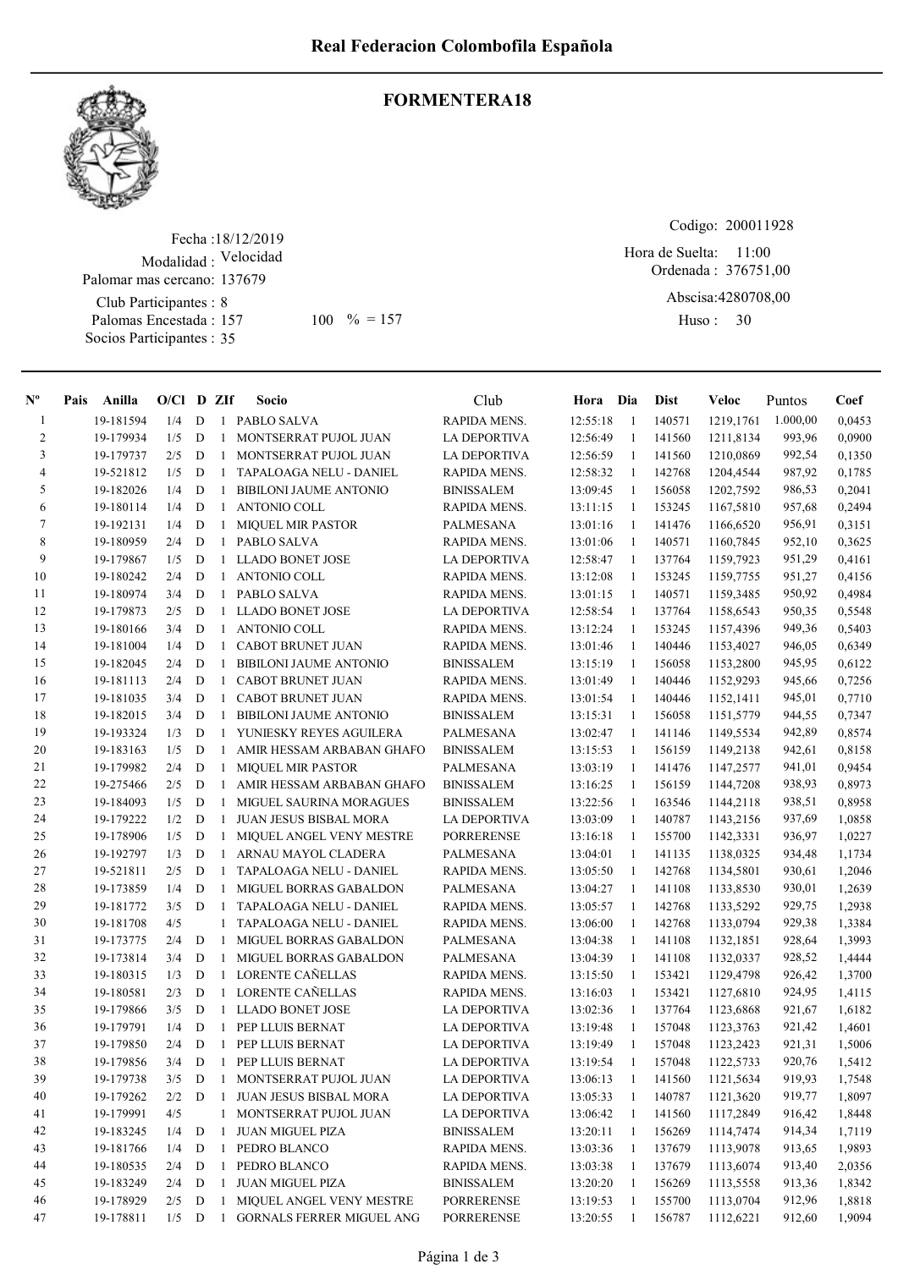

## FORMENTERA18

Fecha : 18/12/2019 Modalidad : Velocidad Club Participantes : 8 Palomas Encestada : Socios Participantes : 35 Palomar mas cercano: 137679 157 100 % = 157 Huso: 30

Codigo: 200011928

Ordenada : 376751,00 Abscisa: 4280708,00 Hora de Suelta: 11:00

Huso: 30

| $\mathbf{N}^{\mathbf{o}}$ | Pais | Anilla    | $O/Cl$ D ZIf |             |              | Socio                            | Club                | Hora Dia |              | Dist             | Veloc                  | Puntos   | Coef   |
|---------------------------|------|-----------|--------------|-------------|--------------|----------------------------------|---------------------|----------|--------------|------------------|------------------------|----------|--------|
| -1                        |      | 19-181594 | 1/4          | D           | -1           | PABLO SALVA                      | RAPIDA MENS.        | 12:55:18 | -1           | 140571           | 1219,1761              | 1.000,00 | 0,0453 |
| 2                         |      | 19-179934 | 1/5          | D           | -1           | MONTSERRAT PUJOL JUAN            | <b>LA DEPORTIVA</b> | 12:56:49 | -1           | 141560           | 1211,8134              | 993,96   | 0,0900 |
| 3                         |      | 19-179737 | 2/5          | D           | -1           | MONTSERRAT PUJOL JUAN            | LA DEPORTIVA        | 12:56:59 | $\mathbf{1}$ | 141560           | 1210,0869              | 992,54   | 0,1350 |
| $\overline{4}$            |      | 19-521812 | 1/5          | D           | -1           | TAPALOAGA NELU - DANIEL          | RAPIDA MENS.        | 12:58:32 | $\mathbf{1}$ | 142768           | 1204,4544              | 987,92   | 0,1785 |
| 5                         |      | 19-182026 | 1/4          | D           | -1           | <b>BIBILONI JAUME ANTONIO</b>    | <b>BINISSALEM</b>   | 13:09:45 | -1           | 156058           | 1202,7592              | 986,53   | 0,2041 |
| 6                         |      | 19-180114 | 1/4          | D           | 1            | ANTONIO COLL                     | RAPIDA MENS.        | 13:11:15 | -1           | 153245           | 1167,5810              | 957,68   | 0,2494 |
| 7                         |      | 19-192131 | 1/4          | D           | 1            | MIQUEL MIR PASTOR                | PALMESANA           | 13:01:16 | 1            | 141476           | 1166,6520              | 956,91   | 0,3151 |
| 8                         |      | 19-180959 | 2/4          | D           | 1            | PABLO SALVA                      | RAPIDA MENS.        | 13:01:06 | -1           | 140571           | 1160,7845              | 952,10   | 0,3625 |
| 9                         |      | 19-179867 | 1/5          | D           | 1            | LLADO BONET JOSE                 | LA DEPORTIVA        | 12:58:47 | -1           | 137764           | 1159,7923              | 951,29   | 0,4161 |
| 10                        |      | 19-180242 | 2/4          | D           | 1            | ANTONIO COLL                     | RAPIDA MENS.        | 13:12:08 | -1           | 153245           | 1159,7755              | 951,27   | 0,4156 |
| 11                        |      | 19-180974 | 3/4          | D           | $\mathbf{1}$ | PABLO SALVA                      | RAPIDA MENS.        | 13:01:15 | -1           | 140571           | 1159,3485              | 950,92   | 0,4984 |
| 12                        |      | 19-179873 | 2/5          | D           | $\mathbf{1}$ | LLADO BONET JOSE                 | LA DEPORTIVA        | 12:58:54 | -1           | 137764           | 1158,6543              | 950,35   | 0,5548 |
| 13                        |      | 19-180166 | 3/4          | D           | 1            | ANTONIO COLL                     | RAPIDA MENS.        | 13:12:24 | 1            | 153245           | 1157,4396              | 949,36   | 0,5403 |
| 14                        |      | 19-181004 | 1/4          | D           | -1           | CABOT BRUNET JUAN                | RAPIDA MENS.        | 13:01:46 | -1           | 140446           | 1153,4027              | 946,05   | 0,6349 |
| 15                        |      | 19-182045 | 2/4          | D           | -1           | BIBILONI JAUME ANTONIO           | <b>BINISSALEM</b>   | 13:15:19 | -1           | 156058           | 1153,2800              | 945,95   | 0,6122 |
| 16                        |      | 19-181113 | 2/4          | D           | 1            | CABOT BRUNET JUAN                | RAPIDA MENS.        | 13:01:49 | -1           | 140446           | 1152,9293              | 945,66   | 0,7256 |
| 17                        |      | 19-181035 | 3/4          | D           | $\mathbf{1}$ | CABOT BRUNET JUAN                | RAPIDA MENS.        | 13:01:54 | -1           | 140446           | 1152,1411              | 945,01   | 0,7710 |
| 18                        |      | 19-182015 | 3/4          | D           | -1           | <b>BIBILONI JAUME ANTONIO</b>    | <b>BINISSALEM</b>   | 13:15:31 | 1            | 156058           | 1151,5779              | 944,55   | 0,7347 |
| 19                        |      | 19-193324 | 1/3          | D           | 1            | YUNIESKY REYES AGUILERA          | PALMESANA           | 13:02:47 | 1            | 141146           | 1149,5534              | 942,89   | 0,8574 |
| 20                        |      | 19-183163 | 1/5          | D           | -1           | AMIR HESSAM ARBABAN GHAFO        | <b>BINISSALEM</b>   | 13:15:53 | 1            | 156159           | 1149,2138              | 942,61   | 0,8158 |
| 21                        |      | 19-179982 | 2/4          | D           | $\mathbf{1}$ | <b>MIQUEL MIR PASTOR</b>         | PALMESANA           | 13:03:19 | -1           | 141476           | 1147,2577              | 941,01   | 0,9454 |
| 22                        |      | 19-275466 | 2/5          | D           | 1            | AMIR HESSAM ARBABAN GHAFO        | <b>BINISSALEM</b>   | 13:16:25 | -1           | 156159           | 1144,7208              | 938,93   | 0,8973 |
| 23                        |      | 19-184093 | 1/5          | D           | 1            | <b>MIGUEL SAURINA MORAGUES</b>   | <b>BINISSALEM</b>   | 13:22:56 | -1           | 163546           | 1144,2118              | 938,51   | 0,8958 |
| 24                        |      | 19-179222 | 1/2          | D           | 1            | <b>JUAN JESUS BISBAL MORA</b>    | LA DEPORTIVA        | 13:03:09 | 1            | 140787           | 1143,2156              | 937,69   | 1,0858 |
| 25                        |      | 19-178906 | 1/5          | D           | 1            | MIQUEL ANGEL VENY MESTRE         | PORRERENSE          | 13:16:18 | 1            | 155700           | 1142,3331              | 936,97   | 1,0227 |
| 26                        |      | 19-192797 | 1/3          | D           | 1            | ARNAU MAYOL CLADERA              | PALMESANA           | 13:04:01 | 1            | 141135           | 1138,0325              | 934,48   | 1,1734 |
| 27                        |      | 19-521811 | 2/5          | D           | -1           | TAPALOAGA NELU - DANIEL          | RAPIDA MENS.        | 13:05:50 | -1           | 142768           | 1134,5801              | 930,61   | 1,2046 |
| 28                        |      | 19-173859 | 1/4          | D           | -1           | MIGUEL BORRAS GABALDON           | PALMESANA           | 13:04:27 | $\mathbf{1}$ | 141108           | 1133,8530              | 930,01   | 1,2639 |
| 29                        |      | 19-181772 | 3/5          | D           | -1           | TAPALOAGA NELU - DANIEL          | RAPIDA MENS.        | 13:05:57 | -1           | 142768           | 1133,5292              | 929,75   | 1,2938 |
| 30                        |      | 19-181708 | 4/5          |             | 1            | TAPALOAGA NELU - DANIEL          | RAPIDA MENS.        | 13:06:00 | 1            | 142768           | 1133,0794              | 929,38   | 1,3384 |
| 31                        |      | 19-173775 | 2/4          | $\mathbf D$ | -1           | MIGUEL BORRAS GABALDON           | PALMESANA           | 13:04:38 | 1            | 141108           | 1132,1851              | 928,64   | 1,3993 |
| 32                        |      | 19-173814 | 3/4          | D           | 1            | MIGUEL BORRAS GABALDON           | PALMESANA           | 13:04:39 | 1            | 141108           | 1132,0337              | 928,52   | 1,4444 |
| 33                        |      | 19-180315 | 1/3          | D           | $\mathbf{1}$ | <b>LORENTE CAÑELLAS</b>          | RAPIDA MENS.        | 13:15:50 | 1            | 153421           | 1129,4798              | 926,42   | 1,3700 |
| 34                        |      | 19-180581 | 2/3          | D           | 1            | LORENTE CAÑELLAS                 | RAPIDA MENS.        | 13:16:03 | 1            | 153421           | 1127,6810              | 924,95   | 1,4115 |
| 35                        |      | 19-179866 | 3/5          | D           | $\mathbf{1}$ | LLADO BONET JOSE                 | LA DEPORTIVA        | 13:02:36 | -1           | 137764           | 1123,6868              | 921,67   | 1,6182 |
| 36                        |      | 19-179791 | 1/4          | D           | $\mathbf{1}$ | PEP LLUIS BERNAT                 | LA DEPORTIVA        | 13:19:48 | $\mathbf{1}$ | 157048           | 1123,3763              | 921,42   | 1,4601 |
| 37                        |      | 19-179850 | 2/4          | D           | $\,$ 1 $\,$  | PEP LLUIS BERNAT                 | LA DEPORTIVA        | 13:19:49 | -1           | 157048           | 1123,2423              | 921,31   | 1,5006 |
| $3\,8$                    |      | 19-179856 | 3/4          | D           |              | 1 PEP LLUIS BERNAT               | LA DEPORTIVA        | 13:19:54 | $\mathbf{1}$ |                  | 157048 1122,5733       | 920,76   | 1,5412 |
| 39                        |      | 19-179738 | 3/5          | D           | $\mathbf{1}$ | MONTSERRAT PUJOL JUAN            | LA DEPORTIVA        | 13:06:13 | 1            | 141560           | 1121,5634              | 919,93   | 1,7548 |
| 40                        |      | 19-179262 | 2/2          | D           | 1            | JUAN JESUS BISBAL MORA           | <b>LA DEPORTIVA</b> | 13:05:33 | -1           | 140787           | 1121,3620              | 919,77   | 1,8097 |
| 41                        |      | 19-179991 | 4/5          |             | $\mathbf{1}$ | MONTSERRAT PUJOL JUAN            | LA DEPORTIVA        | 13:06:42 | $\mathbf{1}$ | 141560           | 1117,2849              | 916,42   | 1,8448 |
| 42                        |      | 19-183245 | 1/4          | D           | 1            | <b>JUAN MIGUEL PIZA</b>          | <b>BINISSALEM</b>   | 13:20:11 | -1           | 156269           | 1114,7474              | 914,34   | 1,7119 |
| 43                        |      | 19-181766 | 1/4          | D           | -1           | PEDRO BLANCO                     | RAPIDA MENS.        | 13:03:36 | 1            | 137679           | 1113,9078              | 913,65   | 1,9893 |
| 44                        |      | 19-180535 | 2/4          | D           | 1            | PEDRO BLANCO                     | RAPIDA MENS.        | 13:03:38 |              | 137679           | 1113,6074              | 913,40   | 2,0356 |
| 45                        |      | 19-183249 | 2/4          |             | 1            | <b>JUAN MIGUEL PIZA</b>          | <b>BINISSALEM</b>   |          | $\mathbf{1}$ |                  |                        | 913,36   |        |
| 46                        |      | 19-178929 |              | D           |              | MIQUEL ANGEL VENY MESTRE         | <b>PORRERENSE</b>   | 13:20:20 | $\mathbf{1}$ | 156269<br>155700 | 1113,5558<br>1113,0704 | 912,96   | 1,8342 |
|                           |      |           | 2/5          | D           |              | $\mathbf{1}$                     |                     | 13:19:53 | -1           |                  |                        |          | 1,8818 |
| 47                        |      | 19-178811 | $1/5$ D      |             | $\mathbf{1}$ | <b>GORNALS FERRER MIGUEL ANG</b> | PORRERENSE          | 13:20:55 | -1           | 156787           | 1112,6221              | 912,60   | 1,9094 |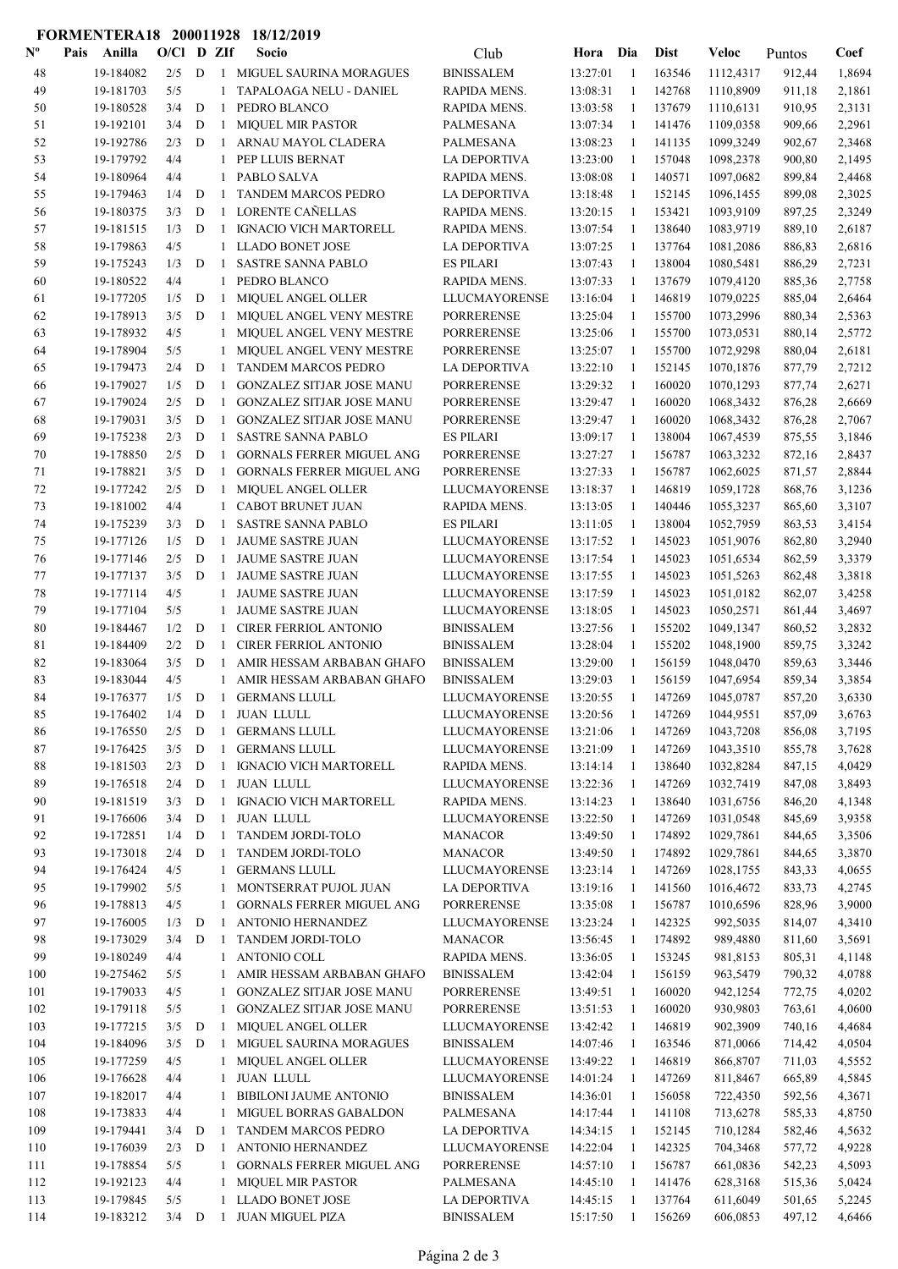## FORMENTERA18 200011928 18/12/2019

| $\mathbf{N}^{\mathbf{o}}$ | Anilla<br>Pais         | $O/Cl$ D ZIf |             |                              | Socio                                                    | Club                 | Hora     | Dia          | <b>Dist</b>      | Veloc                  | Puntos | Coef   |
|---------------------------|------------------------|--------------|-------------|------------------------------|----------------------------------------------------------|----------------------|----------|--------------|------------------|------------------------|--------|--------|
| 48                        | 19-184082              | 2/5          | D           |                              | 1 MIGUEL SAURINA MORAGUES                                | <b>BINISSALEM</b>    | 13:27:01 | -1           | 163546           | 1112,4317              | 912,44 | 1,8694 |
| 49                        | 19-181703              | 5/5          |             |                              | TAPALOAGA NELU - DANIEL                                  | RAPIDA MENS.         | 13:08:31 | 1            | 142768           | 1110,8909              | 911,18 | 2,1861 |
| 50                        | 19-180528              | 3/4          | D           | $\mathbf{1}$                 | PEDRO BLANCO                                             | RAPIDA MENS.         | 13:03:58 | -1           | 137679           | 1110,6131              | 910,95 | 2,3131 |
| 51                        | 19-192101              | 3/4          | $\mathbf D$ | $\mathbf{1}$                 | <b>MIQUEL MIR PASTOR</b>                                 | PALMESANA            | 13:07:34 | -1           | 141476           | 1109,0358              | 909,66 | 2,2961 |
| 52                        | 19-192786              | 2/3          | D           | $\mathbf{1}$                 | ARNAU MAYOL CLADERA                                      | PALMESANA            | 13:08:23 | $\mathbf{1}$ | 141135           | 1099,3249              | 902,67 | 2,3468 |
| 53                        | 19-179792              | 4/4          |             | $\mathbf{1}$                 | PEP LLUIS BERNAT                                         | LA DEPORTIVA         | 13:23:00 | $\mathbf{1}$ | 157048           | 1098,2378              | 900,80 | 2,1495 |
| 54                        | 19-180964              | 4/4          |             | $\mathbf{1}$                 | PABLO SALVA                                              | RAPIDA MENS.         | 13:08:08 | -1           | 140571           | 1097,0682              | 899,84 | 2,4468 |
| 55                        | 19-179463              | 1/4          | D           | -1                           | <b>TANDEM MARCOS PEDRO</b>                               | <b>LA DEPORTIVA</b>  | 13:18:48 | -1           | 152145           | 1096,1455              | 899,08 | 2,3025 |
| 56                        | 19-180375              | 3/3          | $\mathbf D$ | $\mathbf{1}$                 | LORENTE CAÑELLAS                                         | RAPIDA MENS.         | 13:20:15 | -1           | 153421           | 1093,9109              | 897,25 | 2,3249 |
| 57                        | 19-181515              | 1/3          | D           | 1                            | <b>IGNACIO VICH MARTORELL</b>                            | RAPIDA MENS.         | 13:07:54 | 1            | 138640           | 1083,9719              | 889,10 | 2,6187 |
| 58                        | 19-179863              | 4/5          |             | $\mathbf{1}$                 | <b>LLADO BONET JOSE</b>                                  | <b>LA DEPORTIVA</b>  | 13:07:25 | 1            | 137764           | 1081,2086              | 886,83 | 2,6816 |
| 59                        | 19-175243              | 1/3          | D           | 1                            | <b>SASTRE SANNA PABLO</b>                                | ES PILARI            | 13:07:43 | 1            | 138004           | 1080,5481              | 886,29 | 2,7231 |
| 60                        | 19-180522              | 4/4          |             | $\mathbf{1}$                 | PEDRO BLANCO                                             | RAPIDA MENS.         | 13:07:33 | 1            | 137679           | 1079,4120              | 885,36 | 2,7758 |
| 61                        | 19-177205              | 1/5          | D           | 1                            | <b>MIQUEL ANGEL OLLER</b>                                | LLUCMAYORENSE        | 13:16:04 | $\mathbf{1}$ | 146819           | 1079,0225              | 885,04 | 2,6464 |
| 62                        | 19-178913              | 3/5          | D           | 1                            | MIQUEL ANGEL VENY MESTRE                                 | <b>PORRERENSE</b>    | 13:25:04 | 1            | 155700           | 1073,2996              | 880,34 | 2,5363 |
| 63                        | 19-178932              | 4/5          |             | $\mathbf{1}$                 | MIQUEL ANGEL VENY MESTRE                                 | <b>PORRERENSE</b>    | 13:25:06 | -1           | 155700           | 1073,0531              | 880,14 | 2,5772 |
| 64                        | 19-178904              | 5/5          |             | $\mathbf{1}$                 | MIQUEL ANGEL VENY MESTRE                                 | PORRERENSE           | 13:25:07 | -1           | 155700           | 1072,9298              | 880,04 | 2,6181 |
| 65                        | 19-179473              | 2/4          | D           | $\mathbf{1}$                 | <b>TANDEM MARCOS PEDRO</b>                               | LA DEPORTIVA         | 13:22:10 | $\mathbf{1}$ | 152145           | 1070,1876              | 877,79 | 2,7212 |
| 66                        | 19-179027              | 1/5          | D           | $\mathbf{1}$                 | <b>GONZALEZ SITJAR JOSE MANU</b>                         | <b>PORRERENSE</b>    | 13:29:32 | -1           | 160020           | 1070,1293              | 877,74 | 2,6271 |
| 67                        | 19-179024              | 2/5          | D           | 1                            | <b>GONZALEZ SITJAR JOSE MANU</b>                         | PORRERENSE           | 13:29:47 | 1            | 160020           | 1068,3432              | 876,28 | 2,6669 |
| 68                        | 19-179031              | 3/5          | $\mathbf D$ | $\mathbf{1}$                 | GONZALEZ SITJAR JOSE MANU                                | PORRERENSE           | 13:29:47 | 1            | 160020           | 1068,3432              | 876,28 | 2,7067 |
| 69                        | 19-175238              | 2/3          | $\mathbf D$ | $\mathbf{1}$                 | <b>SASTRE SANNA PABLO</b>                                | ES PILARI            | 13:09:17 | 1            | 138004           | 1067,4539              | 875,55 | 3,1846 |
| 70                        | 19-178850              | 2/5          | D           | $\mathbf{1}$                 | <b>GORNALS FERRER MIGUEL ANG</b>                         | <b>PORRERENSE</b>    | 13:27:27 | -1           | 156787           | 1063,3232              | 872,16 | 2,8437 |
|                           | 19-178821              |              |             |                              |                                                          | PORRERENSE           |          |              |                  |                        |        |        |
| 71                        |                        | 3/5          | D           | $\mathbf{1}$                 | <b>GORNALS FERRER MIGUEL ANG</b>                         |                      | 13:27:33 | -1           | 156787           | 1062,6025              | 871,57 | 2,8844 |
| 72                        | 19-177242              | 2/5          | D           | $\mathbf{1}$                 | <b>MIQUEL ANGEL OLLER</b>                                | LLUCMAYORENSE        | 13:18:37 | -1           | 146819           | 1059,1728              | 868,76 | 3,1236 |
| 73                        | 19-181002              | 4/4          |             | $\mathbf{1}$                 | CABOT BRUNET JUAN                                        | RAPIDA MENS.         | 13:13:05 | 1            | 140446           | 1055,3237              | 865,60 | 3,3107 |
| 74                        | 19-175239              | 3/3          | D           | 1                            | <b>SASTRE SANNA PABLO</b>                                | <b>ES PILARI</b>     | 13:11:05 | -1           | 138004           | 1052,7959              | 863,53 | 3,4154 |
| 75                        | 19-177126              | 1/5          | D           | $\mathbf{1}$                 | <b>JAUME SASTRE JUAN</b>                                 | LLUCMAYORENSE        | 13:17:52 | -1           | 145023           | 1051,9076              | 862,80 | 3,2940 |
| 76                        | 19-177146              | 2/5          | D           | $\mathbf{1}$                 | <b>JAUME SASTRE JUAN</b>                                 | LLUCMAYORENSE        | 13:17:54 | -1           | 145023           | 1051,6534              | 862,59 | 3,3379 |
| 77                        | 19-177137              | 3/5          | D           | $\mathbf{1}$                 | JAUME SASTRE JUAN                                        | <b>LLUCMAYORENSE</b> | 13:17:55 | $\mathbf{1}$ | 145023<br>145023 | 1051,5263              | 862,48 | 3,3818 |
| 78                        | 19-177114              | 4/5          |             | $\mathbf{1}$                 | <b>JAUME SASTRE JUAN</b>                                 | LLUCMAYORENSE        | 13:17:59 | -1           |                  | 1051,0182              | 862,07 | 3,4258 |
| 79                        | 19-177104              | 5/5          |             | 1                            | <b>JAUME SASTRE JUAN</b><br><b>CIRER FERRIOL ANTONIO</b> | <b>LLUCMAYORENSE</b> | 13:18:05 | 1            | 145023           | 1050,2571<br>1049,1347 | 861,44 | 3,4697 |
| 80                        | 19-184467<br>19-184409 | 1/2          | D           | $\mathbf{1}$                 |                                                          | <b>BINISSALEM</b>    | 13:27:56 | 1            | 155202<br>155202 |                        | 860,52 | 3,2832 |
| 81                        |                        | 2/2          | D           | $\mathbf{1}$                 | <b>CIRER FERRIOL ANTONIO</b>                             | <b>BINISSALEM</b>    | 13:28:04 | 1            |                  | 1048,1900              | 859,75 | 3,3242 |
| 82                        | 19-183064              | 3/5          | D           | 1                            | AMIR HESSAM ARBABAN GHAFO                                | <b>BINISSALEM</b>    | 13:29:00 | 1            | 156159           | 1048,0470              | 859,63 | 3,3446 |
| 83                        | 19-183044              | 4/5          |             | $\mathbf{1}$                 | AMIR HESSAM ARBABAN GHAFO<br><b>GERMANS LLULL</b>        | <b>BINISSALEM</b>    | 13:29:03 | 1            | 156159<br>147269 | 1047,6954              | 859,34 | 3,3854 |
| 84                        | 19-176377              | 1/5<br>1/4   | D<br>D      | $\mathbf{1}$<br>$\mathbf{1}$ |                                                          | LLUCMAYORENSE        | 13:20:55 | 1<br>1       |                  | 1045,0787              | 857,20 | 3,6330 |
| 85                        | 19-176402              |              |             |                              | <b>JUAN LLULL</b>                                        | LLUCMAYORENSE        | 13:20:56 |              | 147269           | 1044,9551              | 857,09 | 3,6763 |
| 86                        | 19-176550<br>19-176425 | 2/5          | D           | $\mathbf{1}$                 | <b>GERMANS LLULL</b><br><b>GERMANS LLULL</b>             | <b>LLUCMAYORENSE</b> | 13:21:06 | 1            | 147269           | 1043,7208              | 856,08 | 3,7195 |
| 87                        |                        | 3/5          | D           | $\mathbf{1}$                 |                                                          | LLUCMAYORENSE        | 13:21:09 | -1           | 147269           | 1043,3510              | 855,78 | 3,7628 |
| 88                        | 19-181503              | 2/3          | D           | $\mathbf{1}$                 | <b>IGNACIO VICH MARTORELL</b>                            | RAPIDA MENS.         | 13:14:14 | -1           | 138640           | 1032,8284              | 847,15 | 4,0429 |
| 89                        | 19-176518              | 2/4          | D           | $\mathbf{1}$                 | <b>JUAN LLULL</b>                                        | <b>LLUCMAYORENSE</b> | 13:22:36 | $\mathbf{1}$ | 147269           | 1032,7419              | 847,08 | 3,8493 |
| 90                        | 19-181519              | 3/3          | D           |                              | 1 IGNACIO VICH MARTORELL                                 | RAPIDA MENS.         | 13:14:23 | -1           | 138640           | 1031,6756              | 846,20 | 4,1348 |
| 91                        | 19-176606              | 3/4          | D           | $\mathbf{1}$                 | <b>JUAN LLULL</b>                                        | LLUCMAYORENSE        | 13:22:50 | 1            | 147269           | 1031,0548              | 845,69 | 3,9358 |
| 92                        | 19-172851              | 1/4          | ${\bf D}$   | $\mathbf{1}$                 | TANDEM JORDI-TOLO                                        | <b>MANACOR</b>       | 13:49:50 | 1            | 174892           | 1029,7861              | 844,65 | 3,3506 |
| 93                        | 19-173018              | 2/4          | D           | $\mathbf{1}$                 | TANDEM JORDI-TOLO                                        | <b>MANACOR</b>       | 13:49:50 | -1           | 174892           | 1029,7861              | 844,65 | 3,3870 |
| 94                        | 19-176424              | 4/5          |             |                              | 1 GERMANS LLULL                                          | <b>LLUCMAYORENSE</b> | 13:23:14 | -1           | 147269           | 1028,1755              | 843,33 | 4,0655 |
| 95                        | 19-179902              | 5/5          |             |                              | 1 MONTSERRAT PUJOL JUAN                                  | <b>LA DEPORTIVA</b>  | 13:19:16 | $\mathbf{1}$ | 141560           | 1016,4672              | 833,73 | 4,2745 |
| 96                        | 19-178813              | 4/5          |             | $\mathbf{1}$                 | <b>GORNALS FERRER MIGUEL ANG</b>                         | <b>PORRERENSE</b>    | 13:35:08 | -1           | 156787           | 1010,6596              | 828,96 | 3,9000 |
| 97                        | 19-176005              | 1/3          | D           | 1                            | ANTONIO HERNANDEZ                                        | LLUCMAYORENSE        | 13:23:24 | 1            | 142325           | 992,5035               | 814,07 | 4,3410 |
| 98                        | 19-173029              | 3/4          | D           | 1                            | TANDEM JORDI-TOLO                                        | <b>MANACOR</b>       | 13:56:45 | 1            | 174892           | 989,4880               | 811,60 | 3,5691 |
| 99                        | 19-180249              | 4/4          |             |                              | 1 ANTONIO COLL                                           | RAPIDA MENS.         | 13:36:05 | -1           | 153245           | 981,8153               | 805,31 | 4,1148 |
| 100                       | 19-275462              | 5/5          |             |                              | 1 AMIR HESSAM ARBABAN GHAFO                              | <b>BINISSALEM</b>    | 13:42:04 | -1           | 156159           | 963,5479               | 790,32 | 4,0788 |
| 101                       | 19-179033              | 4/5          |             |                              | 1 GONZALEZ SITJAR JOSE MANU                              | PORRERENSE           | 13:49:51 | $\mathbf{1}$ | 160020           | 942,1254               | 772,75 | 4,0202 |
| 102                       | 19-179118              | 5/5          |             |                              | 1 GONZALEZ SITJAR JOSE MANU                              | <b>PORRERENSE</b>    | 13:51:53 | -1           | 160020           | 930,9803               | 763,61 | 4,0600 |
| 103                       | 19-177215              | 3/5          | D           | $\mathbf{1}$                 | <b>MIQUEL ANGEL OLLER</b>                                | LLUCMAYORENSE        | 13:42:42 | -1           | 146819           | 902,3909               | 740,16 | 4,4684 |
| 104                       | 19-184096              | 3/5          | D           | $\mathbf{1}$                 | MIGUEL SAURINA MORAGUES                                  | <b>BINISSALEM</b>    | 14:07:46 | 1            | 163546           | 871,0066               | 714,42 | 4,0504 |
| 105                       | 19-177259              | 4/5          |             | $\mathbf{1}$                 | MIQUEL ANGEL OLLER                                       | LLUCMAYORENSE        | 13:49:22 | 1            | 146819           | 866,8707               | 711,03 | 4,5552 |
| 106                       | 19-176628              | 4/4          |             |                              | 1 JUAN LLULL                                             | LLUCMAYORENSE        | 14:01:24 | 1            | 147269           | 811,8467               | 665,89 | 4,5845 |
| 107                       | 19-182017              | 4/4          |             |                              | 1 BIBILONI JAUME ANTONIO                                 | <b>BINISSALEM</b>    | 14:36:01 | -1           | 156058           | 722,4350               | 592,56 | 4,3671 |
| 108                       | 19-173833              | 4/4          |             |                              | 1 MIGUEL BORRAS GABALDON                                 | PALMESANA            | 14:17:44 | -1           | 141108           | 713,6278               | 585,33 | 4,8750 |
| 109                       | 19-179441              | 3/4          | D           | -1                           | TANDEM MARCOS PEDRO                                      | LA DEPORTIVA         | 14:34:15 | -1           | 152145           | 710,1284               | 582,46 | 4,5632 |
| 110                       | 19-176039              | 2/3          | D           | $\mathbf{1}$                 | ANTONIO HERNANDEZ                                        | LLUCMAYORENSE        | 14:22:04 | 1            | 142325           | 704,3468               | 577,72 | 4,9228 |
| 111                       | 19-178854              | 5/5          |             |                              | 1 GORNALS FERRER MIGUEL ANG                              | <b>PORRERENSE</b>    | 14:57:10 | -1           | 156787           | 661,0836               | 542,23 | 4,5093 |
| 112                       | 19-192123              | 4/4          |             |                              | 1 MIQUEL MIR PASTOR                                      | PALMESANA            | 14:45:10 | -1           | 141476           | 628,3168               | 515,36 | 5,0424 |
| 113                       | 19-179845              | 5/5          |             |                              | 1 LLADO BONET JOSE                                       | LA DEPORTIVA         | 14:45:15 | -1           | 137764           | 611,6049               | 501,65 | 5,2245 |
| 114                       | 19-183212              | $3/4$ D      |             |                              | 1 JUAN MIGUEL PIZA                                       | <b>BINISSALEM</b>    | 15:17:50 | -1           | 156269           | 606,0853               | 497,12 | 4,6466 |